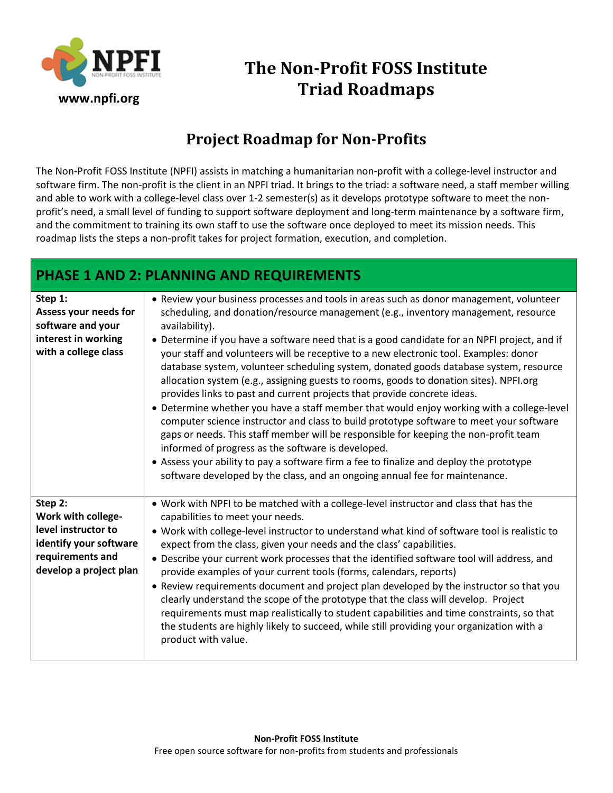

# **The Non-Profit FOSS Institute Triad Roadmaps**

## **Project Roadmap for Non-Profits**

The Non-Profit FOSS Institute (NPFI) assists in matching a humanitarian non-profit with a college-level instructor and software firm. The non-profit is the client in an NPFI triad. It brings to the triad: a software need, a staff member willing and able to work with a college-level class over 1-2 semester(s) as it develops prototype software to meet the nonprofit's need, a small level of funding to support software deployment and long-term maintenance by a software firm, and the commitment to training its own staff to use the software once deployed to meet its mission needs. This roadmap lists the steps a non-profit takes for project formation, execution, and completion.

#### **PHASE 1 AND 2: PLANNING AND REQUIREMENTS**

| Step 1:<br>Assess your needs for<br>software and your<br>interest in working<br>with a college class                         | • Review your business processes and tools in areas such as donor management, volunteer<br>scheduling, and donation/resource management (e.g., inventory management, resource<br>availability).<br>• Determine if you have a software need that is a good candidate for an NPFI project, and if<br>your staff and volunteers will be receptive to a new electronic tool. Examples: donor<br>database system, volunteer scheduling system, donated goods database system, resource<br>allocation system (e.g., assigning guests to rooms, goods to donation sites). NPFI.org<br>provides links to past and current projects that provide concrete ideas.<br>• Determine whether you have a staff member that would enjoy working with a college-level<br>computer science instructor and class to build prototype software to meet your software<br>gaps or needs. This staff member will be responsible for keeping the non-profit team<br>informed of progress as the software is developed.<br>• Assess your ability to pay a software firm a fee to finalize and deploy the prototype<br>software developed by the class, and an ongoing annual fee for maintenance. |
|------------------------------------------------------------------------------------------------------------------------------|-------------------------------------------------------------------------------------------------------------------------------------------------------------------------------------------------------------------------------------------------------------------------------------------------------------------------------------------------------------------------------------------------------------------------------------------------------------------------------------------------------------------------------------------------------------------------------------------------------------------------------------------------------------------------------------------------------------------------------------------------------------------------------------------------------------------------------------------------------------------------------------------------------------------------------------------------------------------------------------------------------------------------------------------------------------------------------------------------------------------------------------------------------------------------|
| Step 2:<br>Work with college-<br>level instructor to<br>identify your software<br>requirements and<br>develop a project plan | . Work with NPFI to be matched with a college-level instructor and class that has the<br>capabilities to meet your needs.<br>. Work with college-level instructor to understand what kind of software tool is realistic to<br>expect from the class, given your needs and the class' capabilities.<br>• Describe your current work processes that the identified software tool will address, and<br>provide examples of your current tools (forms, calendars, reports)<br>• Review requirements document and project plan developed by the instructor so that you<br>clearly understand the scope of the prototype that the class will develop. Project<br>requirements must map realistically to student capabilities and time constraints, so that<br>the students are highly likely to succeed, while still providing your organization with a<br>product with value.                                                                                                                                                                                                                                                                                                |